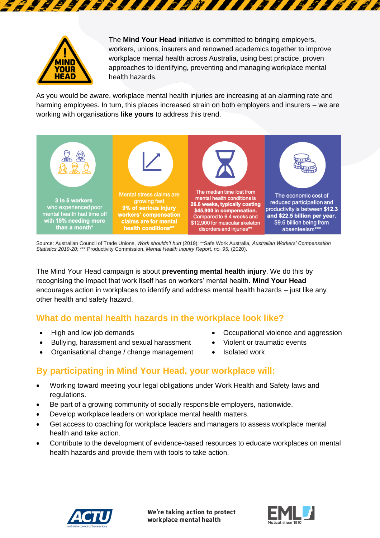

The **Mind Your Head** initiative is committed to bringing employers, workers, unions, insurers and renowned academics together to improve workplace mental health across Australia, using best practice, proven approaches to identifying, preventing and managing workplace mental health hazards.

TTTE SKI

As you would be aware, workplace mental health injuries are increasing at an alarming rate and harming employees. In turn, this places increased strain on both employers and insurers – we are working with organisations **like yours** to address this trend.

75888888W



Source: Australian Council of Trade Unions, *Work shouldn't hurt* (2019); \*\*Safe Work Australia, *Australian Workers' Compensation Statistics 2019-20;* \*\*\* Productivity Commission, *Mental Health Inquiry Report, no. 95,* (2020).

The Mind Your Head campaign is about **preventing mental health injury**. We do this by recognising the impact that work itself has on workers' mental health. **Mind Your Head** encourages action in workplaces to identify and address mental health hazards – just like any other health and safety hazard.

## **What do mental health hazards in the workplace look like?**

- 
- Bullying, harassment and sexual harassment Violent or traumatic events
- Organisational change / change management Isolated work
- High and low job demands Occupational violence and aggression
	-
	-

## **By participating in Mind Your Head, your workplace will:**

- Working toward meeting your legal obligations under Work Health and Safety laws and regulations.
- Be part of a growing community of socially responsible employers, nationwide.
- Develop workplace leaders on workplace mental health matters.
- Get access to coaching for workplace leaders and managers to assess workplace mental health and take action.
- Contribute to the development of evidence-based resources to educate workplaces on mental health hazards and provide them with tools to take action.